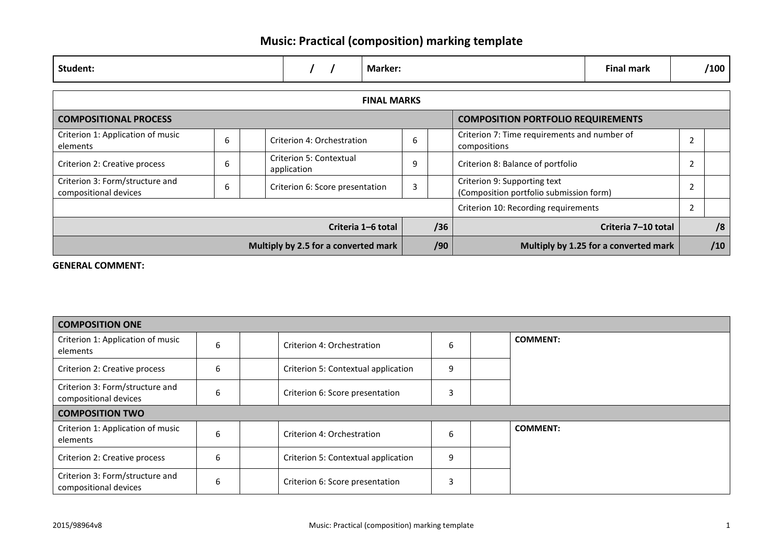## **Music: Practical (composition) marking template**

| Student:                                                 |   |  |                                        |  | Marker:                                                                      |     |  |                                           | <b>Final mark</b>                            |                | /100 |
|----------------------------------------------------------|---|--|----------------------------------------|--|------------------------------------------------------------------------------|-----|--|-------------------------------------------|----------------------------------------------|----------------|------|
| <b>FINAL MARKS</b>                                       |   |  |                                        |  |                                                                              |     |  |                                           |                                              |                |      |
| <b>COMPOSITIONAL PROCESS</b>                             |   |  |                                        |  |                                                                              |     |  | <b>COMPOSITION PORTFOLIO REQUIREMENTS</b> |                                              |                |      |
| Criterion 1: Application of music<br>elements            | 6 |  | Criterion 4: Orchestration             |  |                                                                              | 6   |  | compositions                              | Criterion 7: Time requirements and number of |                |      |
| Criterion 2: Creative process                            | 6 |  | Criterion 5: Contextual<br>application |  |                                                                              | 9   |  | Criterion 8: Balance of portfolio         |                                              |                |      |
| Criterion 3: Form/structure and<br>compositional devices |   |  | Criterion 6: Score presentation        |  | Criterion 9: Supporting text<br>3<br>(Composition portfolio submission form) |     |  |                                           |                                              | $\overline{2}$ |      |
|                                                          |   |  |                                        |  |                                                                              |     |  | Criterion 10: Recording requirements      |                                              | 2              |      |
| Criteria 1-6 total                                       |   |  |                                        |  |                                                                              | /36 |  | Criteria 7-10 total                       |                                              | /8             |      |
| Multiply by 2.5 for a converted mark                     |   |  |                                        |  |                                                                              | /90 |  | Multiply by 1.25 for a converted mark     |                                              |                |      |

#### **GENERAL COMMENT:**

| <b>COMPOSITION ONE</b>                                   |   |  |                                     |   |  |                 |  |  |  |  |
|----------------------------------------------------------|---|--|-------------------------------------|---|--|-----------------|--|--|--|--|
| Criterion 1: Application of music<br>elements            | 6 |  | Criterion 4: Orchestration          | 6 |  | <b>COMMENT:</b> |  |  |  |  |
| Criterion 2: Creative process                            | 6 |  | Criterion 5: Contextual application | 9 |  |                 |  |  |  |  |
| Criterion 3: Form/structure and<br>compositional devices | ь |  | Criterion 6: Score presentation     | 3 |  |                 |  |  |  |  |
| <b>COMPOSITION TWO</b>                                   |   |  |                                     |   |  |                 |  |  |  |  |
| Criterion 1: Application of music<br>elements            | 6 |  | Criterion 4: Orchestration          | 6 |  | <b>COMMENT:</b> |  |  |  |  |
| Criterion 2: Creative process                            | 6 |  | Criterion 5: Contextual application | 9 |  |                 |  |  |  |  |
| Criterion 3: Form/structure and<br>compositional devices | b |  | Criterion 6: Score presentation     | 3 |  |                 |  |  |  |  |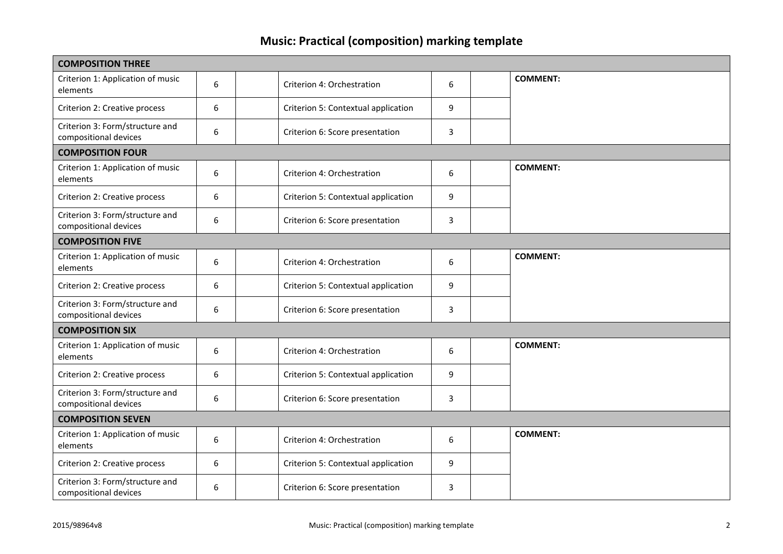## **Music: Practical (composition) marking template**

| <b>COMPOSITION THREE</b>                                 |   |  |                                     |   |  |                 |  |  |  |  |  |
|----------------------------------------------------------|---|--|-------------------------------------|---|--|-----------------|--|--|--|--|--|
| Criterion 1: Application of music<br>elements            | 6 |  | Criterion 4: Orchestration          | 6 |  | <b>COMMENT:</b> |  |  |  |  |  |
| Criterion 2: Creative process                            | 6 |  | Criterion 5: Contextual application | 9 |  |                 |  |  |  |  |  |
| Criterion 3: Form/structure and<br>compositional devices | 6 |  | Criterion 6: Score presentation     | 3 |  |                 |  |  |  |  |  |
| <b>COMPOSITION FOUR</b>                                  |   |  |                                     |   |  |                 |  |  |  |  |  |
| Criterion 1: Application of music<br>elements            | 6 |  | Criterion 4: Orchestration          | 6 |  | <b>COMMENT:</b> |  |  |  |  |  |
| Criterion 2: Creative process                            | 6 |  | Criterion 5: Contextual application | 9 |  |                 |  |  |  |  |  |
| Criterion 3: Form/structure and<br>compositional devices | 6 |  | Criterion 6: Score presentation     | 3 |  |                 |  |  |  |  |  |
| <b>COMPOSITION FIVE</b>                                  |   |  |                                     |   |  |                 |  |  |  |  |  |
| Criterion 1: Application of music<br>elements            | 6 |  | Criterion 4: Orchestration          | 6 |  | <b>COMMENT:</b> |  |  |  |  |  |
| Criterion 2: Creative process                            | 6 |  | Criterion 5: Contextual application | 9 |  |                 |  |  |  |  |  |
| Criterion 3: Form/structure and<br>compositional devices | 6 |  | Criterion 6: Score presentation     | 3 |  |                 |  |  |  |  |  |
| <b>COMPOSITION SIX</b>                                   |   |  |                                     |   |  |                 |  |  |  |  |  |
| Criterion 1: Application of music<br>elements            | 6 |  | Criterion 4: Orchestration          | 6 |  | <b>COMMENT:</b> |  |  |  |  |  |
| Criterion 2: Creative process                            | 6 |  | Criterion 5: Contextual application | 9 |  |                 |  |  |  |  |  |
| Criterion 3: Form/structure and<br>compositional devices | 6 |  | Criterion 6: Score presentation     | 3 |  |                 |  |  |  |  |  |
| <b>COMPOSITION SEVEN</b>                                 |   |  |                                     |   |  |                 |  |  |  |  |  |
| Criterion 1: Application of music<br>elements            | 6 |  | Criterion 4: Orchestration          | 6 |  | <b>COMMENT:</b> |  |  |  |  |  |
| Criterion 2: Creative process                            | 6 |  | Criterion 5: Contextual application | 9 |  |                 |  |  |  |  |  |
| Criterion 3: Form/structure and<br>compositional devices | 6 |  | Criterion 6: Score presentation     | 3 |  |                 |  |  |  |  |  |